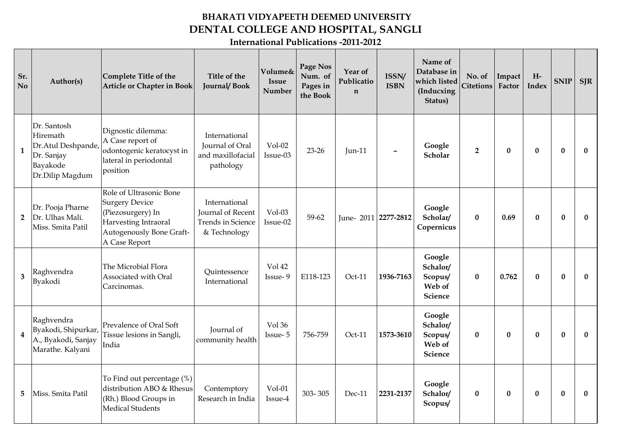## **BHARATI VIDYAPEETH DEEMED UNIVERSITY DENTAL COLLEGE AND HOSPITAL, SANGLI**

**International Publications -2011-2012**

| Sr.<br>N <sub>o</sub>   | Author(s)                                                                                  | Complete Title of the<br><b>Article or Chapter in Book</b>                                                                                 | Title of the<br>Journal/Book                                                          | <b>Volume&amp;</b><br><b>Issue</b><br><b>Number</b> | Page Nos<br>Num. of<br>Pages in<br>the Book | Year of<br>Publicatio<br>$\mathbf n$ | ISSN/<br><b>ISBN</b> | Name of<br>Database in<br>which listed<br>(Inducxing<br>Status) | No. of<br><b>Citetions</b> | Impact<br>Factor | $H-$<br>Index | <b>SNIP</b>  | <b>SJR</b>   |
|-------------------------|--------------------------------------------------------------------------------------------|--------------------------------------------------------------------------------------------------------------------------------------------|---------------------------------------------------------------------------------------|-----------------------------------------------------|---------------------------------------------|--------------------------------------|----------------------|-----------------------------------------------------------------|----------------------------|------------------|---------------|--------------|--------------|
| $\mathbf{1}$            | Dr. Santosh<br>Hiremath<br>Dr.Atul Deshpande,<br>Dr. Sanjay<br>Bayakode<br>Dr.Dilip Magdum | Dignostic dilemma:<br>A Case report of<br>odontogenic keratocyst in<br>lateral in periodontal<br>position                                  | International<br>Journal of Oral<br>and maxillofacial<br>pathology                    | $Vol-02$<br>Issue-03                                | $23 - 26$                                   | <b>Jun-11</b>                        |                      | Google<br>Scholar                                               | $\overline{2}$             | $\bf{0}$         | $\mathbf{0}$  | $\bf{0}$     | $\bf{0}$     |
| $\overline{2}$          | Dr. Pooja Pharne<br>Dr. Ulhas Mali.<br>Miss. Smita Patil                                   | Role of Ultrasonic Bone<br><b>Surgery Device</b><br>(Piezosurgery) In<br>Harvesting Intraoral<br>Autogenously Bone Graft-<br>A Case Report | International<br><b>Journal of Recent</b><br><b>Trends in Science</b><br>& Technology | Vol-03<br>Issue-02                                  | $59 - 62$                                   | June-2011 2277-2812                  |                      | Google<br>Scholar/<br>Copernicus                                | $\bf{0}$                   | 0.69             | $\bf{0}$      | $\bf{0}$     | $\bf{0}$     |
| 3                       | Raghvendra<br>Byakodi                                                                      | The Microbial Flora<br>Associated with Oral<br>Carcinomas.                                                                                 | Quintessence<br>International                                                         | Vol 42<br>Issue-9                                   | E118-123                                    | Oct-11                               | 1936-7163            | Google<br>Schalor/<br>Scopus/<br>Web of<br><b>Science</b>       | $\bf{0}$                   | 0.762            | $\bf{0}$      | $\bf{0}$     | $\mathbf{0}$ |
| $\overline{\mathbf{4}}$ | Raghvendra<br>Byakodi, Shipurkar,<br>A., Byakodi, Sanjay<br>Marathe. Kalyani               | Prevalence of Oral Soft<br>Tissue lesions in Sangli,<br>India                                                                              | Journal of<br>community health                                                        | Vol 36<br>Issue-5                                   | 756-759                                     | $Oct-11$                             | 1573-3610            | Google<br>Schalor/<br>Scopus/<br>Web of<br><b>Science</b>       | $\mathbf{0}$               | $\mathbf{0}$     | $\mathbf{0}$  | $\mathbf{0}$ | $\mathbf{0}$ |
| 5                       | Miss. Smita Patil                                                                          | To Find out percentage (%)<br>distribution ABO & Rhesus<br>(Rh.) Blood Groups in<br><b>Medical Students</b>                                | Contemptory<br>Research in India                                                      | $Vol-01$<br>Issue-4                                 | 303-305                                     | Dec-11                               | 2231-2137            | Google<br>Schalor/<br>Scopus/                                   | $\bf{0}$                   | $\bf{0}$         | $\mathbf{0}$  | $\bf{0}$     | $\bf{0}$     |